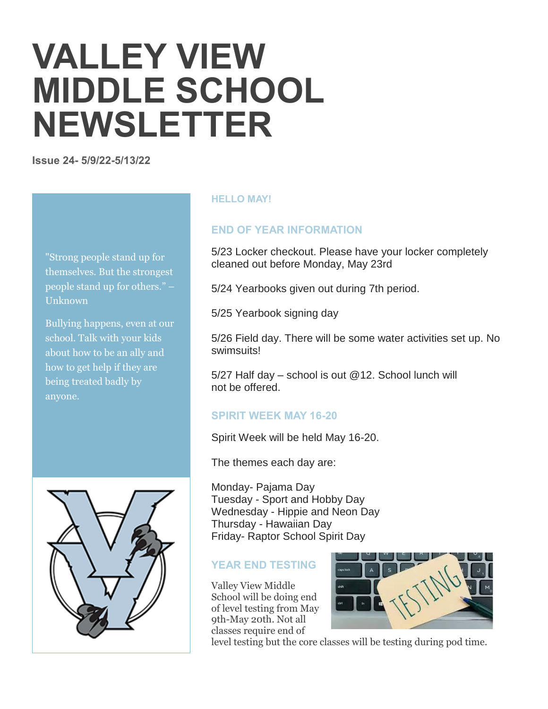# **VALLEY VIEW MIDDLE SCHOOL NEWSLETTER**

**Issue 24- 5/9/22-5/13/22**

"Strong people stand up for themselves. But the strongest people stand up for others." – Unknown

Bullying happens, even at our school. Talk with your kids about how to be an ally and how to get help if they are being treated badly by anyone.



#### **HELLO MAY!**

#### **END OF YEAR INFORMATION**

5/23 Locker checkout. Please have your locker completely cleaned out before Monday, May 23rd

5/24 Yearbooks given out during 7th period.

5/25 Yearbook signing day

5/26 Field day. There will be some water activities set up. No swimsuits!

5/27 Half day – school is out @12. School lunch will not be offered.

# **SPIRIT WEEK MAY 16-20**

Spirit Week will be held May 16-20.

The themes each day are:

Monday- Pajama Day Tuesday - Sport and Hobby Day Wednesday - Hippie and Neon Day Thursday - Hawaiian Day Friday- Raptor School Spirit Day

#### **YEAR END TESTING**

Valley View Middle School will be doing end of level testing from May 9th-May 20th. Not all classes require end of



level testing but the core classes will be testing during pod time.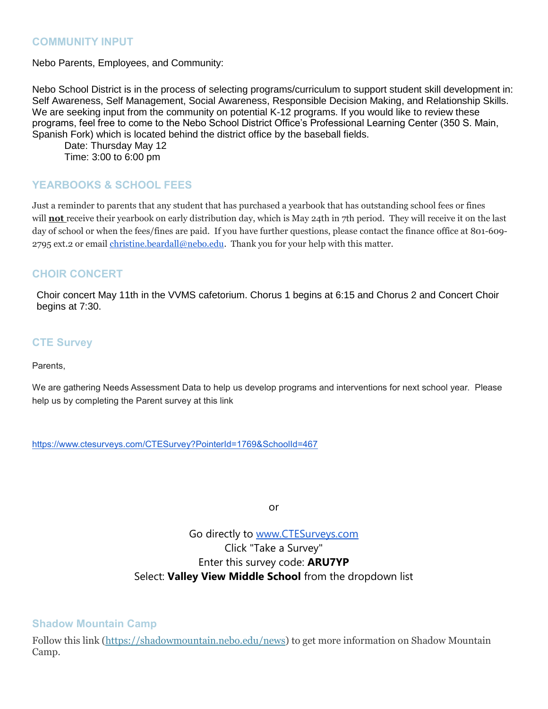#### **COMMUNITY INPUT**

Nebo Parents, Employees, and Community:

Nebo School District is in the process of selecting programs/curriculum to support student skill development in: Self Awareness, Self Management, Social Awareness, Responsible Decision Making, and Relationship Skills. We are seeking input from the community on potential K-12 programs. If you would like to review these programs, feel free to come to the Nebo School District Office's Professional Learning Center (350 S. Main, Spanish Fork) which is located behind the district office by the baseball fields.

Date: Thursday May 12 Time: 3:00 to 6:00 pm

# **YEARBOOKS & SCHOOL FEES**

Just a reminder to parents that any student that has purchased a yearbook that has outstanding school fees or fines will **not** receive their yearbook on early distribution day, which is May 24th in 7th period. They will receive it on the last day of school or when the fees/fines are paid. If you have further questions, please contact the finance office at 801-609- 2795 ext.2 or email [christine.beardall@nebo.edu.](mailto:christine.beardall@nebo.edu) Thank you for your help with this matter.

## **CHOIR CONCERT**

Choir concert May 11th in the VVMS cafetorium. Chorus 1 begins at 6:15 and Chorus 2 and Concert Choir begins at 7:30.

## **CTE Survey**

Parents,

We are gathering Needs Assessment Data to help us develop programs and interventions for next school year. Please help us by completing the Parent survey at this link

<https://www.ctesurveys.com/CTESurvey?PointerId=1769&SchoolId=467>

or

# Go directly to [www.CTESurveys.com](http://www.ctesurveys.com/) Click "Take a Survey" Enter this survey code: **ARU7YP** Select: **Valley View Middle School** from the dropdown list

**Shadow Mountain Camp**

Follow this link [\(https://shadowmountain.nebo.edu/news\)](https://shadowmountain.nebo.edu/news) to get more information on Shadow Mountain Camp.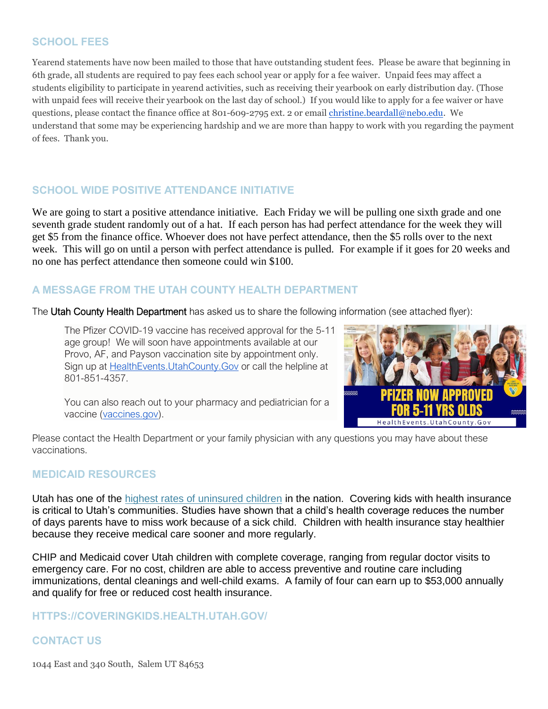## **SCHOOL FEES**

Yearend statements have now been mailed to those that have outstanding student fees. Please be aware that beginning in 6th grade, all students are required to pay fees each school year or apply for a fee waiver. Unpaid fees may affect a students eligibility to participate in yearend activities, such as receiving their yearbook on early distribution day. (Those with unpaid fees will receive their yearbook on the last day of school.) If you would like to apply for a fee waiver or have questions, please contact the finance office at 801-609-2795 ext. 2 or email [christine.beardall@nebo.edu.](mailto:christine.beardall@nebo.edu) We understand that some may be experiencing hardship and we are more than happy to work with you regarding the payment of fees. Thank you.

# **SCHOOL WIDE POSITIVE ATTENDANCE INITIATIVE**

We are going to start a positive attendance initiative. Each Friday we will be pulling one sixth grade and one seventh grade student randomly out of a hat. If each person has had perfect attendance for the week they will get \$5 from the finance office. Whoever does not have perfect attendance, then the \$5 rolls over to the next week. This will go on until a person with perfect attendance is pulled. For example if it goes for 20 weeks and no one has perfect attendance then someone could win \$100.

# **A MESSAGE FROM THE UTAH COUNTY HEALTH DEPARTMENT**

The Utah County Health Department has asked us to share the following information (see attached flyer):

The Pfizer COVID-19 vaccine has received approval for the 5-11 age group! We will soon have appointments available at our Provo, AF, and Payson vaccination site by appointment only. Sign up at [HealthEvents.UtahCounty.Gov](http://healthevents.utahcounty.gov/) or call the helpline at 801-851-4357.



You can also reach out to your pharmacy and pediatrician for a vaccine [\(vaccines.gov\)](http://vaccines.gov/).

Please contact the Health Department or your family physician with any questions you may have about these vaccinations.

# **MEDICAID RESOURCES**

Utah has one of the [highest rates of uninsured children](https://kidshealthcarereport.ccf.georgetown.edu/states/utah/) in the nation. Covering kids with health insurance is critical to Utah's communities. Studies have shown that a child's health coverage reduces the number of days parents have to miss work because of a sick child. Children with health insurance stay healthier because they receive medical care sooner and more regularly.

CHIP and Medicaid cover Utah children with complete coverage, ranging from regular doctor visits to emergency care. For no cost, children are able to access preventive and routine care including immunizations, dental cleanings and well-child exams. A family of four can earn up to \$53,000 annually and qualify for free or reduced cost health insurance.

#### **HTTPS://COVERINGKIDS.HEALTH.UTAH.GOV/**

# **CONTACT US**

1044 East and 340 South, Salem UT 84653